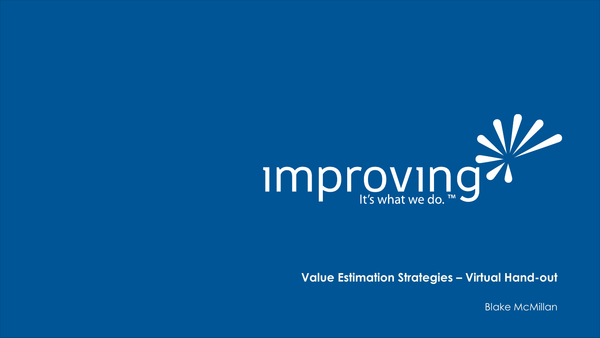

**Value Estimation Strategies – Virtual Hand-out**

Blake McMillan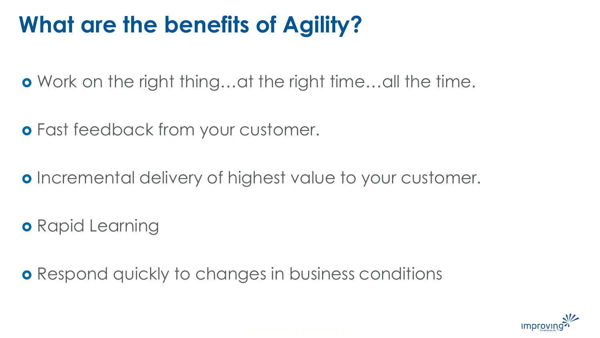# **What are the benefits of Agility?**

Work on the right thing…at the right time…all the time.

**o** Fast feedback from your customer.

o Incremental delivery of highest value to your customer.

**o** Rapid Learning

**o** Respond quickly to changes in business conditions

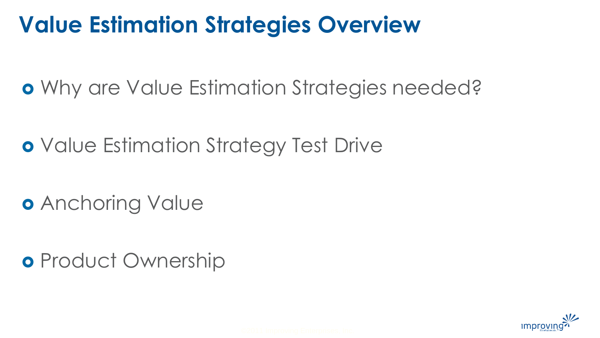## **Value Estimation Strategies Overview**

o Why are Value Estimation Strategies needed?

**o** Value Estimation Strategy Test Drive

**o** Anchoring Value

**o** Product Ownership

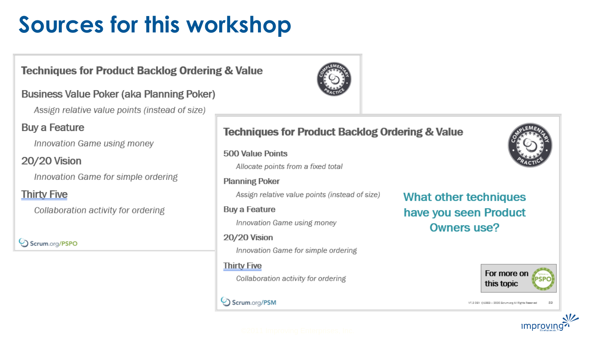# **Sources for this workshop**

## **Techniques for Product Backlog Ordering & Value**

Business Value Poker (aka Planning Poker)

Assign relative value points (instead of size)

### **Buy a Feature**

Innovation Game using money

### 20/20 Vision

Innovation Game for simple ordering

### **Thirty Five**

Collaboration activity for ordering

Scrum.org/PSPO



## **Techniques for Product Backlog Ordering & Value**

#### 500 Value Points

Allocate points from a fixed total

#### **Planning Poker**

Assign relative value points (instead of size)

#### **Buy a Feature**

Innovation Game using money

#### **20/20 Vision**

Innovation Game for simple ordering

#### **Thirty Five**

Collaboration activity for ordering

Scrum.org/PSM

**What other techniques** have you seen Product **Owners use?** 



VT.3 DEV (01993 - 2020 Scrum.org All Rights Reserved

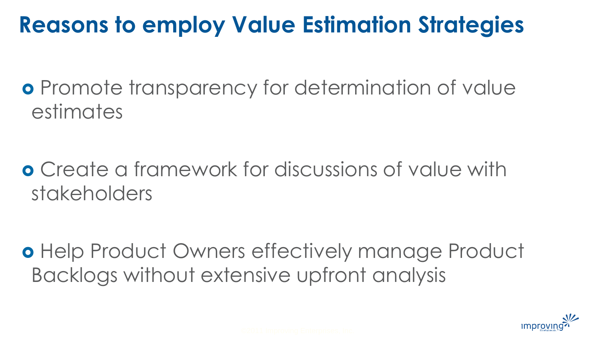## **Reasons to employ Value Estimation Strategies**

- **o** Promote transparency for determination of value **estimates**
- Create a framework for discussions of value with stakeholders

**o** Help Product Owners effectively manage Product Backlogs without extensive upfront analysis

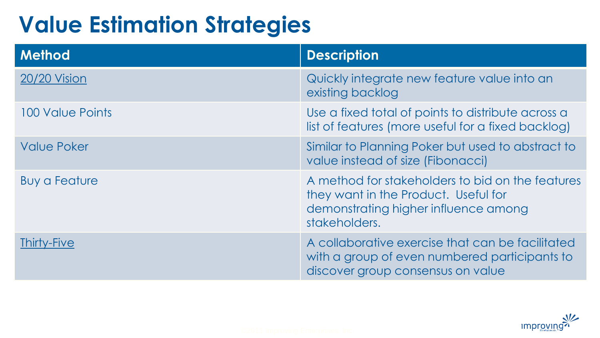# **Value Estimation Strategies**

| <b>Method</b>           | <b>Description</b>                                                                                                                                |
|-------------------------|---------------------------------------------------------------------------------------------------------------------------------------------------|
| 20/20 Vision            | Quickly integrate new feature value into an<br>existing backlog                                                                                   |
| <b>100 Value Points</b> | Use a fixed total of points to distribute across a<br>list of features (more useful for a fixed backlog)                                          |
| <b>Value Poker</b>      | Similar to Planning Poker but used to abstract to<br>value instead of size (Fibonacci)                                                            |
| Buy a Feature           | A method for stakeholders to bid on the features<br>they want in the Product. Useful for<br>demonstrating higher influence among<br>stakeholders. |
| <b>Thirty-Five</b>      | A collaborative exercise that can be facilitated<br>with a group of even numbered participants to<br>discover group consensus on value            |

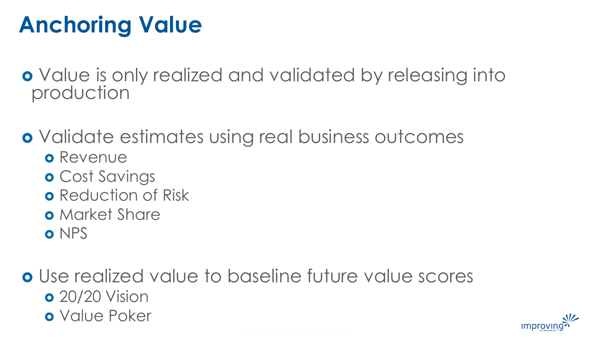# **Anchoring Value**

 Value is only realized and validated by releasing into production

- Validate estimates using real business outcomes
	- o Revenue
	- **o** Cost Savings
	- **o** Reduction of Risk
	- **o** Market Share
	- o NPS

Use realized value to baseline future value scores

- **o** 20/20 Vision
- Value Poker

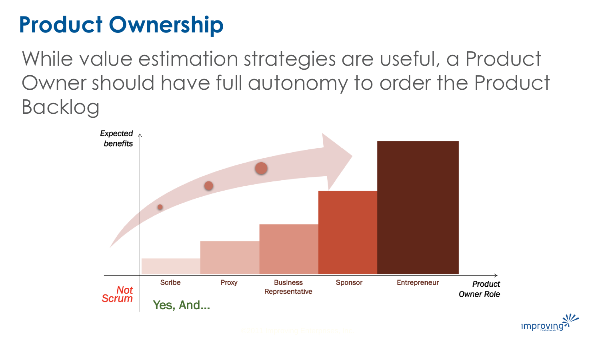# **Product Ownership**

While value estimation strategies are useful, a Product Owner should have full autonomy to order the Product Backlog



**Improvin**